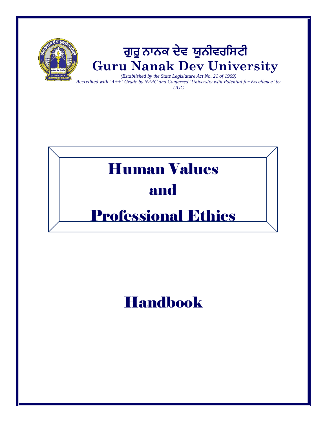

*Accredited with 'A++' Grade by NAAC and Conferred 'University with Potential for Excellence' by UGC*

# Human Values and

# Professional Ethics

# Handbook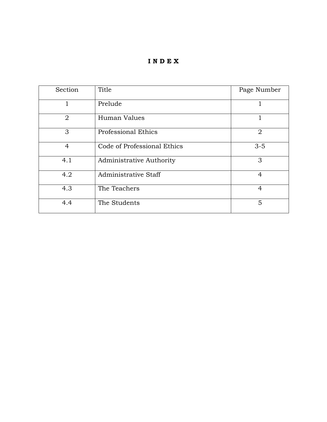#### **I N D E X**

| Section        | Title                       | Page Number    |
|----------------|-----------------------------|----------------|
| 1              | Prelude                     |                |
| $\overline{2}$ | Human Values                | 1              |
| 3              | <b>Professional Ethics</b>  | $\overline{2}$ |
| 4              | Code of Professional Ethics | $3 - 5$        |
| 4.1            | Administrative Authority    | 3              |
| 4.2            | Administrative Staff        | $\overline{4}$ |
| 4.3            | The Teachers                | 4              |
| 4.4            | The Students                | 5              |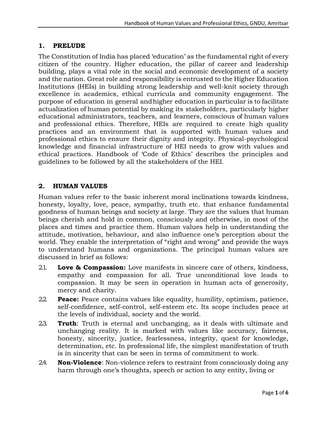#### **1. PRELUDE**

The Constitution of India has placed 'education' as the fundamental right of every citizen of the country. Higher education, the pillar of career and leadership building, plays a vital role in the social and economic development of a society and the nation. Great role and responsibility is entrusted to the Higher Education Institutions (HEIs) in building strong leadership and well-knit society through excellence in academics, ethical curricula and community engagement. The purpose of education in general andhigher education in particular is to facilitate actualization of human potential by making its stakeholders, particularly higher educational administrators, teachers, and learners, conscious of human values and professional ethics. Therefore, HEIs are required to create high quality practices and an environment that is supported with human values and professional ethics to ensure their dignity and integrity. Physical-psychological knowledge and financial infrastructure of HEI needs to grow with values and ethical practices. Handbook of 'Code of Ethics' describes the principles and guidelines to be followed by all the stakeholders of the HEI.

#### **2. HUMAN VALUES**

Human values refer to the basic inherent moral inclinations towards kindness, honesty, loyalty, love, peace, sympathy, truth etc. that enhance fundamental goodness of human beings and society at large. They are the values that human beings cherish and hold in common, consciously and otherwise, in most of the places and times and practice them. Human values help in understanding the attitude, motivation, behaviour, and also influence one's perception about the world. They enable the interpretation of "right and wrong" and provide the ways to understand humans and organizations. The principal human values are discussed in brief as follows:

- 2.1. **Love & Compassion:** Love manifests in sincere care of others, kindness, empathy and compassion for all. True unconditional love leads to compassion. It may be seen in operation in human acts of generosity, mercy and charity.
- 2.2. **Peace:** Peace contains values like equality, humility, optimism, patience, self-confidence, self-control, self-esteem etc. Its scope includes peace at the levels of individual, society and the world.
- 2.3. **Truth**: Truth is eternal and unchanging, as it deals with ultimate and unchanging reality. It is marked with values like accuracy, fairness, honesty, sincerity, justice, fearlessness, integrity, quest for knowledge, determination, etc. In professional life, the simplest manifestation of truth is in sincerity that can be seen in terms of commitment to work.
- 2.4. **Non-Violence**: Non-violence refers to restraint from consciously doing any harm through one's thoughts, speech or action to any entity, living or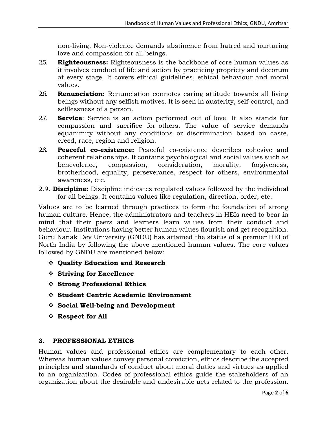non-living. Non-violence demands abstinence from hatred and nurturing love and compassion for all beings.

- 2.5. **Righteousness:** Righteousness is the backbone of core human values as it involves conduct of life and action by practicing propriety and decorum at every stage. It covers ethical guidelines, ethical behaviour and moral values.
- 2.6. **Renunciation:** Renunciation connotes caring attitude towards all living beings without any selfish motives. It is seen in austerity, self-control, and selflessness of a person.
- 2.7. **Service**: Service is an action performed out of love. It also stands for compassion and sacrifice for others. The value of service demands equanimity without any conditions or discrimination based on caste, creed, race, region and religion.
- 2.8. **Peaceful co-existence:** Peaceful co-existence describes cohesive and coherent relationships. It contains psychological and social values such as benevolence, compassion, consideration, morality, forgiveness, brotherhood, equality, perseverance, respect for others, environmental awareness, etc.
- 2.9. **Discipline:** Discipline indicates regulated values followed by the individual for all beings. It contains values like regulation, direction, order, etc.

Values are to be learned through practices to form the foundation of strong human culture. Hence, the administrators and teachers in HEIs need to bear in mind that their peers and learners learn values from their conduct and behaviour. Institutions having better human values flourish and get recognition. Guru Nanak Dev University (GNDU) has attained the status of a premier HEI of North India by following the above mentioned human values. The core values followed by GNDU are mentioned below:

- **Quality Education and Research**
- **Striving for Excellence**
- **Strong Professional Ethics**
- **Student Centric Academic Environment**
- **Social Well-being and Development**
- **Respect for All**

#### **3. PROFESSIONAL ETHICS**

Human values and professional ethics are complementary to each other. Whereas human values convey personal conviction, ethics describe the accepted principles and standards of conduct about moral duties and virtues as applied to an organization. Codes of professional ethics guide the stakeholders of an organization about the desirable and undesirable acts related to the profession.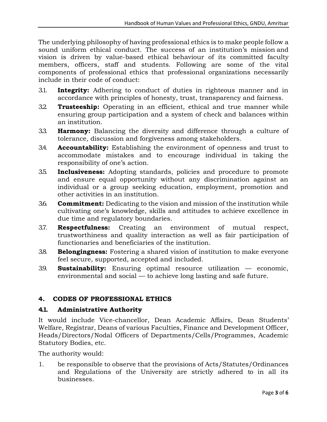The underlying philosophy of having professional ethics is to make people follow a sound uniform ethical conduct. The success of an institution's mission and vision is driven by value-based ethical behaviour of its committed faculty members, officers, staff and students. Following are some of the vital components of professional ethics that professional organizations necessarily include in their code of conduct:

- 3.1. **Integrity:** Adhering to conduct of duties in righteous manner and in accordance with principles of honesty, trust, transparency and fairness.
- 3.2. **Trusteeship:** Operating in an efficient, ethical and true manner while ensuring group participation and a system of check and balances within an institution.
- 3.3. **Harmony:** Balancing the diversity and difference through a culture of tolerance, discussion and forgiveness among stakeholders.
- 3.4. **Accountability:** Establishing the environment of openness and trust to accommodate mistakes and to encourage individual in taking the responsibility of one's action.
- 3.5. **Inclusiveness:** Adopting standards, policies and procedure to promote and ensure equal opportunity without any discrimination against an individual or a group seeking education, employment, promotion and other activities in an institution.
- 3.6. **Commitment:** Dedicating to the vision and mission of the institution while cultivating one's knowledge, skills and attitudes to achieve excellence in due time and regulatory boundaries.
- 3.7. **Respectfulness:** Creating an environment of mutual respect, trustworthiness and quality interaction as well as fair participation of functionaries and beneficiaries of the institution.
- 3.8. **Belongingness:** Fostering a shared vision of institution to make everyone feel secure, supported, accepted and included.
- 3.9. **Sustainability:** Ensuring optimal resource utilization economic, environmental and social — to achieve long lasting and safe future.

## **4. CODES OF PROFESSIONAL ETHICS**

#### **4.1. Administrative Authority**

It would include Vice-chancellor, Dean Academic Affairs, Dean Students' Welfare, Registrar, Deans of various Faculties, Finance and Development Officer, Heads/Directors/Nodal Officers of Departments/Cells/Programmes, Academic Statutory Bodies, etc.

The authority would:

1. be responsible to observe that the provisions of Acts/Statutes/Ordinances and Regulations of the University are strictly adhered to in all its businesses.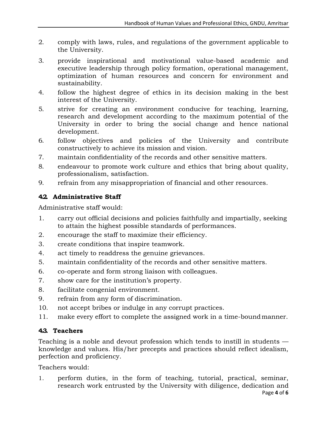- 2. comply with laws, rules, and regulations of the government applicable to the University.
- 3. provide inspirational and motivational value-based academic and executive leadership through policy formation, operational management, optimization of human resources and concern for environment and sustainability.
- 4. follow the highest degree of ethics in its decision making in the best interest of the University.
- 5. strive for creating an environment conducive for teaching, learning, research and development according to the maximum potential of the University in order to bring the social change and hence national development.
- 6. follow objectives and policies of the University and contribute constructively to achieve its mission and vision.
- 7. maintain confidentiality of the records and other sensitive matters.
- 8. endeavour to promote work culture and ethics that bring about quality, professionalism, satisfaction.
- 9. refrain from any misappropriation of financial and other resources.

# **4.2. Administrative Staff**

Administrative staff would:

- 1. carry out official decisions and policies faithfully and impartially, seeking to attain the highest possible standards of performances.
- 2. encourage the staff to maximize their efficiency.
- 3. create conditions that inspire teamwork.
- 4. act timely to readdress the genuine grievances.
- 5. maintain confidentiality of the records and other sensitive matters.
- 6. co-operate and form strong liaison with colleagues.
- 7. show care for the institution's property.
- 8. facilitate congenial environment.
- 9. refrain from any form of discrimination.
- 10. not accept bribes or indulge in any corrupt practices.
- 11. make every effort to complete the assigned work in a time-boundmanner.

## **4.3. Teachers**

Teaching is a noble and devout profession which tends to instill in students knowledge and values. His/her precepts and practices should reflect idealism, perfection and proficiency.

Teachers would:

1. perform duties, in the form of teaching, tutorial, practical, seminar, research work entrusted by the University with diligence, dedication and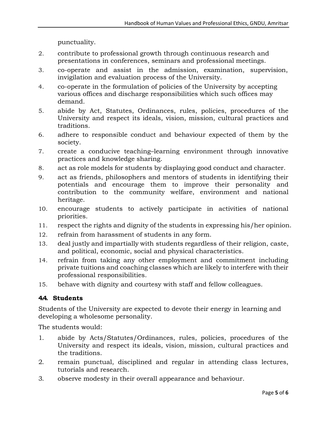punctuality.

- 2. contribute to professional growth through continuous research and presentations in conferences, seminars and professional meetings.
- 3. co-operate and assist in the admission, examination, supervision, invigilation and evaluation process of the University.
- 4. co-operate in the formulation of policies of the University by accepting various offices and discharge responsibilities which such offices may demand.
- 5. abide by Act, Statutes, Ordinances, rules, policies, procedures of the University and respect its ideals, vision, mission, cultural practices and traditions.
- 6. adhere to responsible conduct and behaviour expected of them by the society.
- 7. create a conducive teaching–learning environment through innovative practices and knowledge sharing.
- 8. act as role models for students by displaying good conduct and character.
- 9. act as friends, philosophers and mentors of students in identifying their potentials and encourage them to improve their personality and contribution to the community welfare, environment and national heritage.
- 10. encourage students to actively participate in activities of national priorities.
- 11. respect the rights and dignity of the students in expressing his/her opinion.
- 12. refrain from harassment of students in any form.
- 13. deal justly and impartially with students regardless of their religion, caste, and political, economic, social and physical characteristics.
- 14. refrain from taking any other employment and commitment including private tuitions and coaching classes which are likely to interfere with their professional responsibilities.
- 15. behave with dignity and courtesy with staff and fellow colleagues.

## **4.4. Students**

Students of the University are expected to devote their energy in learning and developing a wholesome personality.

The students would:

- 1. abide by Acts/Statutes/Ordinances, rules, policies, procedures of the University and respect its ideals, vision, mission, cultural practices and the traditions.
- 2. remain punctual, disciplined and regular in attending class lectures, tutorials and research.
- 3. observe modesty in their overall appearance and behaviour.